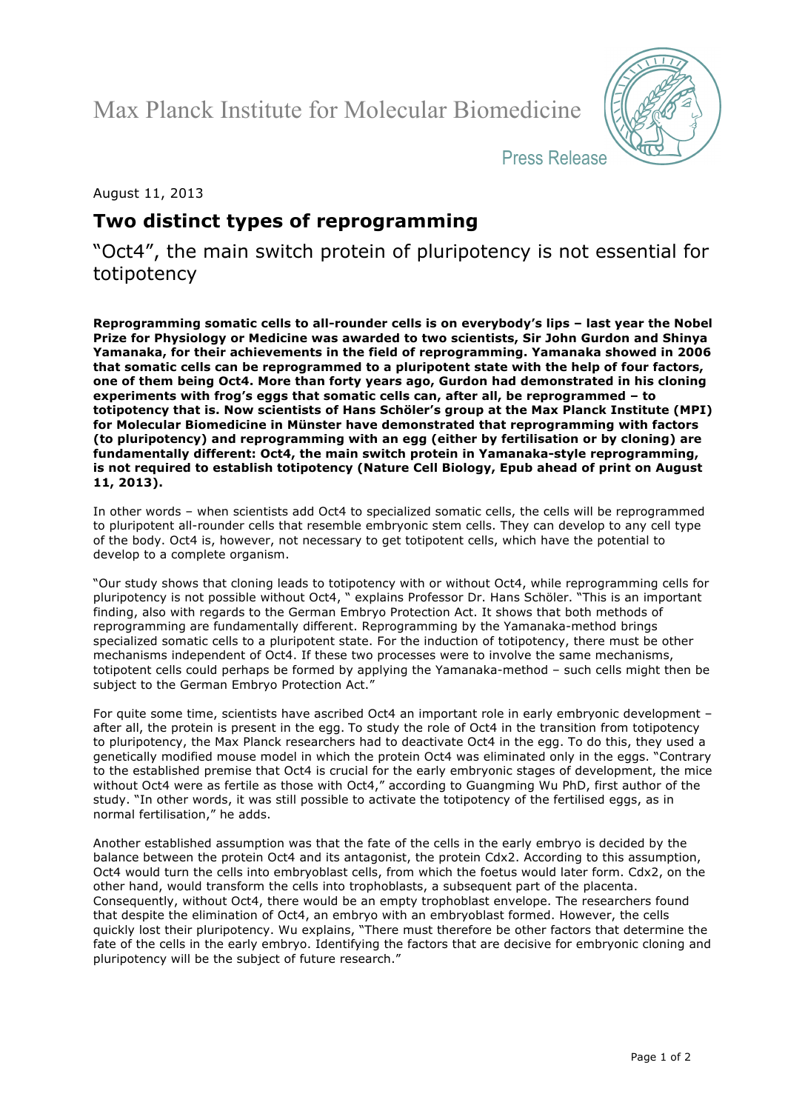Max Planck Institute for Molecular Biomedicine



Press Release

August 11, 2013

# **Two distinct types of reprogramming**

"Oct4", the main switch protein of pluripotency is not essential for totipotency

**Reprogramming somatic cells to all-rounder cells is on everybody's lips – last year the Nobel Prize for Physiology or Medicine was awarded to two scientists, Sir John Gurdon and Shinya Yamanaka, for their achievements in the field of reprogramming. Yamanaka showed in 2006 that somatic cells can be reprogrammed to a pluripotent state with the help of four factors, one of them being Oct4. More than forty years ago, Gurdon had demonstrated in his cloning experiments with frog's eggs that somatic cells can, after all, be reprogrammed – to totipotency that is. Now scientists of Hans Schöler's group at the Max Planck Institute (MPI) for Molecular Biomedicine in Münster have demonstrated that reprogramming with factors (to pluripotency) and reprogramming with an egg (either by fertilisation or by cloning) are fundamentally different: Oct4, the main switch protein in Yamanaka-style reprogramming, is not required to establish totipotency (Nature Cell Biology, Epub ahead of print on August 11, 2013).**

In other words – when scientists add Oct4 to specialized somatic cells, the cells will be reprogrammed to pluripotent all-rounder cells that resemble embryonic stem cells. They can develop to any cell type of the body. Oct4 is, however, not necessary to get totipotent cells, which have the potential to develop to a complete organism.

"Our study shows that cloning leads to totipotency with or without Oct4, while reprogramming cells for pluripotency is not possible without Oct4, " explains Professor Dr. Hans Schöler. "This is an important finding, also with regards to the German Embryo Protection Act. It shows that both methods of reprogramming are fundamentally different. Reprogramming by the Yamanaka-method brings specialized somatic cells to a pluripotent state. For the induction of totipotency, there must be other mechanisms independent of Oct4. If these two processes were to involve the same mechanisms, totipotent cells could perhaps be formed by applying the Yamanaka-method – such cells might then be subject to the German Embryo Protection Act."

For quite some time, scientists have ascribed Oct4 an important role in early embryonic development – after all, the protein is present in the egg. To study the role of Oct4 in the transition from totipotency to pluripotency, the Max Planck researchers had to deactivate Oct4 in the egg. To do this, they used a genetically modified mouse model in which the protein Oct4 was eliminated only in the eggs. "Contrary to the established premise that Oct4 is crucial for the early embryonic stages of development, the mice without Oct4 were as fertile as those with Oct4," according to Guangming Wu PhD, first author of the study. "In other words, it was still possible to activate the totipotency of the fertilised eggs, as in normal fertilisation," he adds.

Another established assumption was that the fate of the cells in the early embryo is decided by the balance between the protein Oct4 and its antagonist, the protein Cdx2. According to this assumption, Oct4 would turn the cells into embryoblast cells, from which the foetus would later form. Cdx2, on the other hand, would transform the cells into trophoblasts, a subsequent part of the placenta. Consequently, without Oct4, there would be an empty trophoblast envelope. The researchers found that despite the elimination of Oct4, an embryo with an embryoblast formed. However, the cells quickly lost their pluripotency. Wu explains, "There must therefore be other factors that determine the fate of the cells in the early embryo. Identifying the factors that are decisive for embryonic cloning and pluripotency will be the subject of future research."